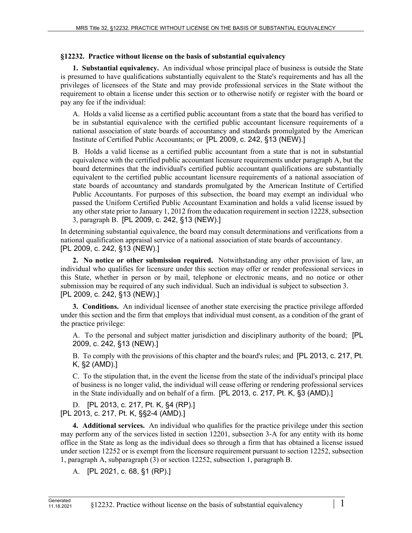## **§12232. Practice without license on the basis of substantial equivalency**

**1. Substantial equivalency.** An individual whose principal place of business is outside the State is presumed to have qualifications substantially equivalent to the State's requirements and has all the privileges of licensees of the State and may provide professional services in the State without the requirement to obtain a license under this section or to otherwise notify or register with the board or pay any fee if the individual:

A. Holds a valid license as a certified public accountant from a state that the board has verified to be in substantial equivalence with the certified public accountant licensure requirements of a national association of state boards of accountancy and standards promulgated by the American Institute of Certified Public Accountants; or [PL 2009, c. 242, §13 (NEW).]

B. Holds a valid license as a certified public accountant from a state that is not in substantial equivalence with the certified public accountant licensure requirements under paragraph A, but the board determines that the individual's certified public accountant qualifications are substantially equivalent to the certified public accountant licensure requirements of a national association of state boards of accountancy and standards promulgated by the American Institute of Certified Public Accountants. For purposes of this subsection, the board may exempt an individual who passed the Uniform Certified Public Accountant Examination and holds a valid license issued by any other state prior to January 1, 2012 from the education requirement in section 12228, subsection 3, paragraph B. [PL 2009, c. 242, §13 (NEW).]

In determining substantial equivalence, the board may consult determinations and verifications from a national qualification appraisal service of a national association of state boards of accountancy. [PL 2009, c. 242, §13 (NEW).]

**2. No notice or other submission required.** Notwithstanding any other provision of law, an individual who qualifies for licensure under this section may offer or render professional services in this State, whether in person or by mail, telephone or electronic means, and no notice or other submission may be required of any such individual. Such an individual is subject to subsection 3. [PL 2009, c. 242, §13 (NEW).]

**3. Conditions.** An individual licensee of another state exercising the practice privilege afforded under this section and the firm that employs that individual must consent, as a condition of the grant of the practice privilege:

A. To the personal and subject matter jurisdiction and disciplinary authority of the board; [PL 2009, c. 242, §13 (NEW).]

B. To comply with the provisions of this chapter and the board's rules; and [PL 2013, c. 217, Pt. K, §2 (AMD).]

C. To the stipulation that, in the event the license from the state of the individual's principal place of business is no longer valid, the individual will cease offering or rendering professional services in the State individually and on behalf of a firm. [PL 2013, c. 217, Pt. K, §3 (AMD).]

D. [PL 2013, c. 217, Pt. K, §4 (RP).] [PL 2013, c. 217, Pt. K, §§2-4 (AMD).]

**4. Additional services.** An individual who qualifies for the practice privilege under this section may perform any of the services listed in section 12201, subsection 3-A for any entity with its home office in the State as long as the individual does so through a firm that has obtained a license issued under section 12252 or is exempt from the licensure requirement pursuant to section 12252, subsection 1, paragraph A, subparagraph (3) or section 12252, subsection 1, paragraph B.

A. [PL 2021, c. 68, §1 (RP).]